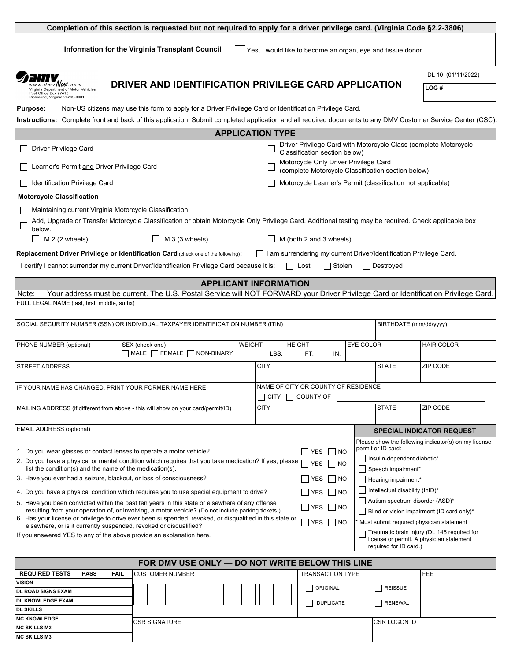| Information for the Virginia Transplant Council<br>Yes, I would like to become an organ, eye and tissue donor.<br>DL 10 (01/11/2022)<br><i>HI</i><br>DRIVER AND IDENTIFICATION PRIVILEGE CARD APPLICATION<br>$dmv$ Now .com<br>LOG#<br>Virginia Department of Motor Vehicles<br>Post Office Box 27412<br>Richmond, Virginia 23269-0001<br>Non-US citizens may use this form to apply for a Driver Privilege Card or Identification Privilege Card.<br><b>Purpose:</b><br><b>APPLICATION TYPE</b><br>Driver Privilege Card with Motorcycle Class (complete Motorcycle<br>Driver Privilege Card<br>Classification section below)<br>Motorcycle Only Driver Privilege Card<br>Learner's Permit and Driver Privilege Card<br>(complete Motorcycle Classification section below)<br>Motorcycle Learner's Permit (classification not applicable)<br>Identification Privilege Card<br><b>Motorcycle Classification</b><br>Maintaining current Virginia Motorcycle Classification<br>Add, Upgrade or Transfer Motorcycle Classification or obtain Motorcycle Only Privilege Card. Additional testing may be required. Check applicable box<br>below.<br>M 2 (2 wheels)<br>$M_3$ (3 wheels)<br>M (both 2 and 3 wheels)<br>Replacement Driver Privilege or Identification Card (check one of the following):<br>I am surrendering my current Driver/Identification Privilege Card.<br>I certify I cannot surrender my current Driver/Identification Privilege Card because it is:<br>Stolen<br>Destroyed<br>$\Box$<br>Lost<br><b>APPLICANT INFORMATION</b><br>Your address must be current. The U.S. Postal Service will NOT FORWARD your Driver Privilege Card or Identification Privilege Card.<br>Note:<br>FULL LEGAL NAME (last, first, middle, suffix)<br>SOCIAL SECURITY NUMBER (SSN) OR INDIVIDUAL TAXPAYER IDENTIFICATION NUMBER (ITIN)<br>BIRTHDATE (mm/dd/yyyy)<br>PHONE NUMBER (optional)<br><b>WEIGHT</b><br><b>HEIGHT</b><br>EYE COLOR<br><b>HAIR COLOR</b><br>SEX (check one)<br>MALE FEMALE NON-BINARY<br>LBS.<br>FT.<br>IN.<br><b>STATE</b><br><b>CITY</b><br>ZIP CODE<br><b>STREET ADDRESS</b><br>NAME OF CITY OR COUNTY OF RESIDENCE<br>IF YOUR NAME HAS CHANGED, PRINT YOUR FORMER NAME HERE<br>$\Box$ CITY $\Box$ COUNTY OF<br><b>CITY</b><br><b>STATE</b><br>ZIP CODE<br>MAILING ADDRESS (if different from above - this will show on your card/permit/ID)<br><b>EMAIL ADDRESS (optional)</b><br><b>SPECIAL INDICATOR REQUEST</b><br>Please show the following indicator(s) on my license,<br>permit or ID card:<br>1. Do you wear glasses or contact lenses to operate a motor vehicle?<br>$7$ YES $\Box$ NO<br>Insulin-dependent diabetic*<br>2. Do you have a physical or mental condition which requires that you take medication? If yes, please<br><b>YES</b><br>$\vert$ $\vert$ NO<br>list the condition(s) and the name of the medication(s).<br>Speech impairment*<br>3. Have you ever had a seizure, blackout, or loss of consciousness?<br>YES<br>$\vert$ NO<br>Hearing impairment*<br>Intellectual disability (IntD)*<br>4. Do you have a physical condition which requires you to use special equipment to drive?<br><b>YES</b><br>$\vert$ NO<br>Autism spectrum disorder (ASD)*<br>5. Have you been convicted within the past ten years in this state or elsewhere of any offense<br><b>YES</b><br>$\vert$ NO<br>resulting from your operation of, or involving, a motor vehicle? (Do not include parking tickets.)<br>Blind or vision impairment (ID card only)*<br>6. Has your license or privilege to drive ever been suspended, revoked, or disqualified in this state or<br>Must submit required physician statement<br>YES<br>$\vert$ NO<br>elsewhere, or is it currently suspended, revoked or disqualified?<br>Traumatic brain injury (DL 145 required for<br>If you answered YES to any of the above provide an explanation here.<br>license or permit. A physician statement<br>required for ID card.)<br>FOR DMV USE ONLY - DO NOT WRITE BELOW THIS LINE | Completion of this section is requested but not required to apply for a driver privilege card. (Virginia Code §2.2-3806) |  |  |  |  |  |            |  |  |
|----------------------------------------------------------------------------------------------------------------------------------------------------------------------------------------------------------------------------------------------------------------------------------------------------------------------------------------------------------------------------------------------------------------------------------------------------------------------------------------------------------------------------------------------------------------------------------------------------------------------------------------------------------------------------------------------------------------------------------------------------------------------------------------------------------------------------------------------------------------------------------------------------------------------------------------------------------------------------------------------------------------------------------------------------------------------------------------------------------------------------------------------------------------------------------------------------------------------------------------------------------------------------------------------------------------------------------------------------------------------------------------------------------------------------------------------------------------------------------------------------------------------------------------------------------------------------------------------------------------------------------------------------------------------------------------------------------------------------------------------------------------------------------------------------------------------------------------------------------------------------------------------------------------------------------------------------------------------------------------------------------------------------------------------------------------------------------------------------------------------------------------------------------------------------------------------------------------------------------------------------------------------------------------------------------------------------------------------------------------------------------------------------------------------------------------------------------------------------------------------------------------------------------------------------------------------------------------------------------------------------------------------------------------------------------------------------------------------------------------------------------------------------------------------------------------------------------------------------------------------------------------------------------------------------------------------------------------------------------------------------------------------------------------------------------------------------------------------------------------------------------------------------------------------------------------------------------------------------------------------------------------------------------------------------------------------------------------------------------------------------------------------------------------------------------------------------------------------------------------------------------------------------------------------------------------------------------------------------------------------------------------------------------------------------------------------------------------------------------------------------------------------------------------------------------------------------------------------------------------------------------------------------------------------------------------------------------------------------------------------|--------------------------------------------------------------------------------------------------------------------------|--|--|--|--|--|------------|--|--|
|                                                                                                                                                                                                                                                                                                                                                                                                                                                                                                                                                                                                                                                                                                                                                                                                                                                                                                                                                                                                                                                                                                                                                                                                                                                                                                                                                                                                                                                                                                                                                                                                                                                                                                                                                                                                                                                                                                                                                                                                                                                                                                                                                                                                                                                                                                                                                                                                                                                                                                                                                                                                                                                                                                                                                                                                                                                                                                                                                                                                                                                                                                                                                                                                                                                                                                                                                                                                                                                                                                                                                                                                                                                                                                                                                                                                                                                                                                                                                                                              |                                                                                                                          |  |  |  |  |  |            |  |  |
|                                                                                                                                                                                                                                                                                                                                                                                                                                                                                                                                                                                                                                                                                                                                                                                                                                                                                                                                                                                                                                                                                                                                                                                                                                                                                                                                                                                                                                                                                                                                                                                                                                                                                                                                                                                                                                                                                                                                                                                                                                                                                                                                                                                                                                                                                                                                                                                                                                                                                                                                                                                                                                                                                                                                                                                                                                                                                                                                                                                                                                                                                                                                                                                                                                                                                                                                                                                                                                                                                                                                                                                                                                                                                                                                                                                                                                                                                                                                                                                              |                                                                                                                          |  |  |  |  |  |            |  |  |
| Instructions: Complete front and back of this application. Submit completed application and all required documents to any DMV Customer Service Center (CSC).                                                                                                                                                                                                                                                                                                                                                                                                                                                                                                                                                                                                                                                                                                                                                                                                                                                                                                                                                                                                                                                                                                                                                                                                                                                                                                                                                                                                                                                                                                                                                                                                                                                                                                                                                                                                                                                                                                                                                                                                                                                                                                                                                                                                                                                                                                                                                                                                                                                                                                                                                                                                                                                                                                                                                                                                                                                                                                                                                                                                                                                                                                                                                                                                                                                                                                                                                                                                                                                                                                                                                                                                                                                                                                                                                                                                                                 |                                                                                                                          |  |  |  |  |  |            |  |  |
|                                                                                                                                                                                                                                                                                                                                                                                                                                                                                                                                                                                                                                                                                                                                                                                                                                                                                                                                                                                                                                                                                                                                                                                                                                                                                                                                                                                                                                                                                                                                                                                                                                                                                                                                                                                                                                                                                                                                                                                                                                                                                                                                                                                                                                                                                                                                                                                                                                                                                                                                                                                                                                                                                                                                                                                                                                                                                                                                                                                                                                                                                                                                                                                                                                                                                                                                                                                                                                                                                                                                                                                                                                                                                                                                                                                                                                                                                                                                                                                              |                                                                                                                          |  |  |  |  |  |            |  |  |
|                                                                                                                                                                                                                                                                                                                                                                                                                                                                                                                                                                                                                                                                                                                                                                                                                                                                                                                                                                                                                                                                                                                                                                                                                                                                                                                                                                                                                                                                                                                                                                                                                                                                                                                                                                                                                                                                                                                                                                                                                                                                                                                                                                                                                                                                                                                                                                                                                                                                                                                                                                                                                                                                                                                                                                                                                                                                                                                                                                                                                                                                                                                                                                                                                                                                                                                                                                                                                                                                                                                                                                                                                                                                                                                                                                                                                                                                                                                                                                                              |                                                                                                                          |  |  |  |  |  |            |  |  |
|                                                                                                                                                                                                                                                                                                                                                                                                                                                                                                                                                                                                                                                                                                                                                                                                                                                                                                                                                                                                                                                                                                                                                                                                                                                                                                                                                                                                                                                                                                                                                                                                                                                                                                                                                                                                                                                                                                                                                                                                                                                                                                                                                                                                                                                                                                                                                                                                                                                                                                                                                                                                                                                                                                                                                                                                                                                                                                                                                                                                                                                                                                                                                                                                                                                                                                                                                                                                                                                                                                                                                                                                                                                                                                                                                                                                                                                                                                                                                                                              |                                                                                                                          |  |  |  |  |  |            |  |  |
|                                                                                                                                                                                                                                                                                                                                                                                                                                                                                                                                                                                                                                                                                                                                                                                                                                                                                                                                                                                                                                                                                                                                                                                                                                                                                                                                                                                                                                                                                                                                                                                                                                                                                                                                                                                                                                                                                                                                                                                                                                                                                                                                                                                                                                                                                                                                                                                                                                                                                                                                                                                                                                                                                                                                                                                                                                                                                                                                                                                                                                                                                                                                                                                                                                                                                                                                                                                                                                                                                                                                                                                                                                                                                                                                                                                                                                                                                                                                                                                              |                                                                                                                          |  |  |  |  |  |            |  |  |
|                                                                                                                                                                                                                                                                                                                                                                                                                                                                                                                                                                                                                                                                                                                                                                                                                                                                                                                                                                                                                                                                                                                                                                                                                                                                                                                                                                                                                                                                                                                                                                                                                                                                                                                                                                                                                                                                                                                                                                                                                                                                                                                                                                                                                                                                                                                                                                                                                                                                                                                                                                                                                                                                                                                                                                                                                                                                                                                                                                                                                                                                                                                                                                                                                                                                                                                                                                                                                                                                                                                                                                                                                                                                                                                                                                                                                                                                                                                                                                                              |                                                                                                                          |  |  |  |  |  |            |  |  |
|                                                                                                                                                                                                                                                                                                                                                                                                                                                                                                                                                                                                                                                                                                                                                                                                                                                                                                                                                                                                                                                                                                                                                                                                                                                                                                                                                                                                                                                                                                                                                                                                                                                                                                                                                                                                                                                                                                                                                                                                                                                                                                                                                                                                                                                                                                                                                                                                                                                                                                                                                                                                                                                                                                                                                                                                                                                                                                                                                                                                                                                                                                                                                                                                                                                                                                                                                                                                                                                                                                                                                                                                                                                                                                                                                                                                                                                                                                                                                                                              |                                                                                                                          |  |  |  |  |  |            |  |  |
|                                                                                                                                                                                                                                                                                                                                                                                                                                                                                                                                                                                                                                                                                                                                                                                                                                                                                                                                                                                                                                                                                                                                                                                                                                                                                                                                                                                                                                                                                                                                                                                                                                                                                                                                                                                                                                                                                                                                                                                                                                                                                                                                                                                                                                                                                                                                                                                                                                                                                                                                                                                                                                                                                                                                                                                                                                                                                                                                                                                                                                                                                                                                                                                                                                                                                                                                                                                                                                                                                                                                                                                                                                                                                                                                                                                                                                                                                                                                                                                              |                                                                                                                          |  |  |  |  |  |            |  |  |
|                                                                                                                                                                                                                                                                                                                                                                                                                                                                                                                                                                                                                                                                                                                                                                                                                                                                                                                                                                                                                                                                                                                                                                                                                                                                                                                                                                                                                                                                                                                                                                                                                                                                                                                                                                                                                                                                                                                                                                                                                                                                                                                                                                                                                                                                                                                                                                                                                                                                                                                                                                                                                                                                                                                                                                                                                                                                                                                                                                                                                                                                                                                                                                                                                                                                                                                                                                                                                                                                                                                                                                                                                                                                                                                                                                                                                                                                                                                                                                                              |                                                                                                                          |  |  |  |  |  |            |  |  |
|                                                                                                                                                                                                                                                                                                                                                                                                                                                                                                                                                                                                                                                                                                                                                                                                                                                                                                                                                                                                                                                                                                                                                                                                                                                                                                                                                                                                                                                                                                                                                                                                                                                                                                                                                                                                                                                                                                                                                                                                                                                                                                                                                                                                                                                                                                                                                                                                                                                                                                                                                                                                                                                                                                                                                                                                                                                                                                                                                                                                                                                                                                                                                                                                                                                                                                                                                                                                                                                                                                                                                                                                                                                                                                                                                                                                                                                                                                                                                                                              |                                                                                                                          |  |  |  |  |  |            |  |  |
|                                                                                                                                                                                                                                                                                                                                                                                                                                                                                                                                                                                                                                                                                                                                                                                                                                                                                                                                                                                                                                                                                                                                                                                                                                                                                                                                                                                                                                                                                                                                                                                                                                                                                                                                                                                                                                                                                                                                                                                                                                                                                                                                                                                                                                                                                                                                                                                                                                                                                                                                                                                                                                                                                                                                                                                                                                                                                                                                                                                                                                                                                                                                                                                                                                                                                                                                                                                                                                                                                                                                                                                                                                                                                                                                                                                                                                                                                                                                                                                              |                                                                                                                          |  |  |  |  |  |            |  |  |
|                                                                                                                                                                                                                                                                                                                                                                                                                                                                                                                                                                                                                                                                                                                                                                                                                                                                                                                                                                                                                                                                                                                                                                                                                                                                                                                                                                                                                                                                                                                                                                                                                                                                                                                                                                                                                                                                                                                                                                                                                                                                                                                                                                                                                                                                                                                                                                                                                                                                                                                                                                                                                                                                                                                                                                                                                                                                                                                                                                                                                                                                                                                                                                                                                                                                                                                                                                                                                                                                                                                                                                                                                                                                                                                                                                                                                                                                                                                                                                                              |                                                                                                                          |  |  |  |  |  |            |  |  |
|                                                                                                                                                                                                                                                                                                                                                                                                                                                                                                                                                                                                                                                                                                                                                                                                                                                                                                                                                                                                                                                                                                                                                                                                                                                                                                                                                                                                                                                                                                                                                                                                                                                                                                                                                                                                                                                                                                                                                                                                                                                                                                                                                                                                                                                                                                                                                                                                                                                                                                                                                                                                                                                                                                                                                                                                                                                                                                                                                                                                                                                                                                                                                                                                                                                                                                                                                                                                                                                                                                                                                                                                                                                                                                                                                                                                                                                                                                                                                                                              |                                                                                                                          |  |  |  |  |  |            |  |  |
|                                                                                                                                                                                                                                                                                                                                                                                                                                                                                                                                                                                                                                                                                                                                                                                                                                                                                                                                                                                                                                                                                                                                                                                                                                                                                                                                                                                                                                                                                                                                                                                                                                                                                                                                                                                                                                                                                                                                                                                                                                                                                                                                                                                                                                                                                                                                                                                                                                                                                                                                                                                                                                                                                                                                                                                                                                                                                                                                                                                                                                                                                                                                                                                                                                                                                                                                                                                                                                                                                                                                                                                                                                                                                                                                                                                                                                                                                                                                                                                              |                                                                                                                          |  |  |  |  |  |            |  |  |
|                                                                                                                                                                                                                                                                                                                                                                                                                                                                                                                                                                                                                                                                                                                                                                                                                                                                                                                                                                                                                                                                                                                                                                                                                                                                                                                                                                                                                                                                                                                                                                                                                                                                                                                                                                                                                                                                                                                                                                                                                                                                                                                                                                                                                                                                                                                                                                                                                                                                                                                                                                                                                                                                                                                                                                                                                                                                                                                                                                                                                                                                                                                                                                                                                                                                                                                                                                                                                                                                                                                                                                                                                                                                                                                                                                                                                                                                                                                                                                                              |                                                                                                                          |  |  |  |  |  |            |  |  |
|                                                                                                                                                                                                                                                                                                                                                                                                                                                                                                                                                                                                                                                                                                                                                                                                                                                                                                                                                                                                                                                                                                                                                                                                                                                                                                                                                                                                                                                                                                                                                                                                                                                                                                                                                                                                                                                                                                                                                                                                                                                                                                                                                                                                                                                                                                                                                                                                                                                                                                                                                                                                                                                                                                                                                                                                                                                                                                                                                                                                                                                                                                                                                                                                                                                                                                                                                                                                                                                                                                                                                                                                                                                                                                                                                                                                                                                                                                                                                                                              |                                                                                                                          |  |  |  |  |  |            |  |  |
|                                                                                                                                                                                                                                                                                                                                                                                                                                                                                                                                                                                                                                                                                                                                                                                                                                                                                                                                                                                                                                                                                                                                                                                                                                                                                                                                                                                                                                                                                                                                                                                                                                                                                                                                                                                                                                                                                                                                                                                                                                                                                                                                                                                                                                                                                                                                                                                                                                                                                                                                                                                                                                                                                                                                                                                                                                                                                                                                                                                                                                                                                                                                                                                                                                                                                                                                                                                                                                                                                                                                                                                                                                                                                                                                                                                                                                                                                                                                                                                              |                                                                                                                          |  |  |  |  |  |            |  |  |
|                                                                                                                                                                                                                                                                                                                                                                                                                                                                                                                                                                                                                                                                                                                                                                                                                                                                                                                                                                                                                                                                                                                                                                                                                                                                                                                                                                                                                                                                                                                                                                                                                                                                                                                                                                                                                                                                                                                                                                                                                                                                                                                                                                                                                                                                                                                                                                                                                                                                                                                                                                                                                                                                                                                                                                                                                                                                                                                                                                                                                                                                                                                                                                                                                                                                                                                                                                                                                                                                                                                                                                                                                                                                                                                                                                                                                                                                                                                                                                                              |                                                                                                                          |  |  |  |  |  |            |  |  |
|                                                                                                                                                                                                                                                                                                                                                                                                                                                                                                                                                                                                                                                                                                                                                                                                                                                                                                                                                                                                                                                                                                                                                                                                                                                                                                                                                                                                                                                                                                                                                                                                                                                                                                                                                                                                                                                                                                                                                                                                                                                                                                                                                                                                                                                                                                                                                                                                                                                                                                                                                                                                                                                                                                                                                                                                                                                                                                                                                                                                                                                                                                                                                                                                                                                                                                                                                                                                                                                                                                                                                                                                                                                                                                                                                                                                                                                                                                                                                                                              |                                                                                                                          |  |  |  |  |  |            |  |  |
|                                                                                                                                                                                                                                                                                                                                                                                                                                                                                                                                                                                                                                                                                                                                                                                                                                                                                                                                                                                                                                                                                                                                                                                                                                                                                                                                                                                                                                                                                                                                                                                                                                                                                                                                                                                                                                                                                                                                                                                                                                                                                                                                                                                                                                                                                                                                                                                                                                                                                                                                                                                                                                                                                                                                                                                                                                                                                                                                                                                                                                                                                                                                                                                                                                                                                                                                                                                                                                                                                                                                                                                                                                                                                                                                                                                                                                                                                                                                                                                              |                                                                                                                          |  |  |  |  |  |            |  |  |
|                                                                                                                                                                                                                                                                                                                                                                                                                                                                                                                                                                                                                                                                                                                                                                                                                                                                                                                                                                                                                                                                                                                                                                                                                                                                                                                                                                                                                                                                                                                                                                                                                                                                                                                                                                                                                                                                                                                                                                                                                                                                                                                                                                                                                                                                                                                                                                                                                                                                                                                                                                                                                                                                                                                                                                                                                                                                                                                                                                                                                                                                                                                                                                                                                                                                                                                                                                                                                                                                                                                                                                                                                                                                                                                                                                                                                                                                                                                                                                                              |                                                                                                                          |  |  |  |  |  |            |  |  |
|                                                                                                                                                                                                                                                                                                                                                                                                                                                                                                                                                                                                                                                                                                                                                                                                                                                                                                                                                                                                                                                                                                                                                                                                                                                                                                                                                                                                                                                                                                                                                                                                                                                                                                                                                                                                                                                                                                                                                                                                                                                                                                                                                                                                                                                                                                                                                                                                                                                                                                                                                                                                                                                                                                                                                                                                                                                                                                                                                                                                                                                                                                                                                                                                                                                                                                                                                                                                                                                                                                                                                                                                                                                                                                                                                                                                                                                                                                                                                                                              |                                                                                                                          |  |  |  |  |  |            |  |  |
|                                                                                                                                                                                                                                                                                                                                                                                                                                                                                                                                                                                                                                                                                                                                                                                                                                                                                                                                                                                                                                                                                                                                                                                                                                                                                                                                                                                                                                                                                                                                                                                                                                                                                                                                                                                                                                                                                                                                                                                                                                                                                                                                                                                                                                                                                                                                                                                                                                                                                                                                                                                                                                                                                                                                                                                                                                                                                                                                                                                                                                                                                                                                                                                                                                                                                                                                                                                                                                                                                                                                                                                                                                                                                                                                                                                                                                                                                                                                                                                              |                                                                                                                          |  |  |  |  |  |            |  |  |
|                                                                                                                                                                                                                                                                                                                                                                                                                                                                                                                                                                                                                                                                                                                                                                                                                                                                                                                                                                                                                                                                                                                                                                                                                                                                                                                                                                                                                                                                                                                                                                                                                                                                                                                                                                                                                                                                                                                                                                                                                                                                                                                                                                                                                                                                                                                                                                                                                                                                                                                                                                                                                                                                                                                                                                                                                                                                                                                                                                                                                                                                                                                                                                                                                                                                                                                                                                                                                                                                                                                                                                                                                                                                                                                                                                                                                                                                                                                                                                                              |                                                                                                                          |  |  |  |  |  |            |  |  |
|                                                                                                                                                                                                                                                                                                                                                                                                                                                                                                                                                                                                                                                                                                                                                                                                                                                                                                                                                                                                                                                                                                                                                                                                                                                                                                                                                                                                                                                                                                                                                                                                                                                                                                                                                                                                                                                                                                                                                                                                                                                                                                                                                                                                                                                                                                                                                                                                                                                                                                                                                                                                                                                                                                                                                                                                                                                                                                                                                                                                                                                                                                                                                                                                                                                                                                                                                                                                                                                                                                                                                                                                                                                                                                                                                                                                                                                                                                                                                                                              |                                                                                                                          |  |  |  |  |  |            |  |  |
|                                                                                                                                                                                                                                                                                                                                                                                                                                                                                                                                                                                                                                                                                                                                                                                                                                                                                                                                                                                                                                                                                                                                                                                                                                                                                                                                                                                                                                                                                                                                                                                                                                                                                                                                                                                                                                                                                                                                                                                                                                                                                                                                                                                                                                                                                                                                                                                                                                                                                                                                                                                                                                                                                                                                                                                                                                                                                                                                                                                                                                                                                                                                                                                                                                                                                                                                                                                                                                                                                                                                                                                                                                                                                                                                                                                                                                                                                                                                                                                              |                                                                                                                          |  |  |  |  |  |            |  |  |
|                                                                                                                                                                                                                                                                                                                                                                                                                                                                                                                                                                                                                                                                                                                                                                                                                                                                                                                                                                                                                                                                                                                                                                                                                                                                                                                                                                                                                                                                                                                                                                                                                                                                                                                                                                                                                                                                                                                                                                                                                                                                                                                                                                                                                                                                                                                                                                                                                                                                                                                                                                                                                                                                                                                                                                                                                                                                                                                                                                                                                                                                                                                                                                                                                                                                                                                                                                                                                                                                                                                                                                                                                                                                                                                                                                                                                                                                                                                                                                                              |                                                                                                                          |  |  |  |  |  |            |  |  |
|                                                                                                                                                                                                                                                                                                                                                                                                                                                                                                                                                                                                                                                                                                                                                                                                                                                                                                                                                                                                                                                                                                                                                                                                                                                                                                                                                                                                                                                                                                                                                                                                                                                                                                                                                                                                                                                                                                                                                                                                                                                                                                                                                                                                                                                                                                                                                                                                                                                                                                                                                                                                                                                                                                                                                                                                                                                                                                                                                                                                                                                                                                                                                                                                                                                                                                                                                                                                                                                                                                                                                                                                                                                                                                                                                                                                                                                                                                                                                                                              |                                                                                                                          |  |  |  |  |  |            |  |  |
|                                                                                                                                                                                                                                                                                                                                                                                                                                                                                                                                                                                                                                                                                                                                                                                                                                                                                                                                                                                                                                                                                                                                                                                                                                                                                                                                                                                                                                                                                                                                                                                                                                                                                                                                                                                                                                                                                                                                                                                                                                                                                                                                                                                                                                                                                                                                                                                                                                                                                                                                                                                                                                                                                                                                                                                                                                                                                                                                                                                                                                                                                                                                                                                                                                                                                                                                                                                                                                                                                                                                                                                                                                                                                                                                                                                                                                                                                                                                                                                              |                                                                                                                          |  |  |  |  |  |            |  |  |
|                                                                                                                                                                                                                                                                                                                                                                                                                                                                                                                                                                                                                                                                                                                                                                                                                                                                                                                                                                                                                                                                                                                                                                                                                                                                                                                                                                                                                                                                                                                                                                                                                                                                                                                                                                                                                                                                                                                                                                                                                                                                                                                                                                                                                                                                                                                                                                                                                                                                                                                                                                                                                                                                                                                                                                                                                                                                                                                                                                                                                                                                                                                                                                                                                                                                                                                                                                                                                                                                                                                                                                                                                                                                                                                                                                                                                                                                                                                                                                                              | <b>CUSTOMER NUMBER</b><br><b>REQUIRED TESTS</b><br><b>PASS</b><br><b>FAIL</b><br><b>TRANSACTION TYPE</b>                 |  |  |  |  |  | <b>FEE</b> |  |  |
| <b>VISION</b><br>ORIGINAL<br><b>REISSUE</b>                                                                                                                                                                                                                                                                                                                                                                                                                                                                                                                                                                                                                                                                                                                                                                                                                                                                                                                                                                                                                                                                                                                                                                                                                                                                                                                                                                                                                                                                                                                                                                                                                                                                                                                                                                                                                                                                                                                                                                                                                                                                                                                                                                                                                                                                                                                                                                                                                                                                                                                                                                                                                                                                                                                                                                                                                                                                                                                                                                                                                                                                                                                                                                                                                                                                                                                                                                                                                                                                                                                                                                                                                                                                                                                                                                                                                                                                                                                                                  |                                                                                                                          |  |  |  |  |  |            |  |  |
| DL ROAD SIGNS EXAM<br>DL KNOWLEDGE EXAM                                                                                                                                                                                                                                                                                                                                                                                                                                                                                                                                                                                                                                                                                                                                                                                                                                                                                                                                                                                                                                                                                                                                                                                                                                                                                                                                                                                                                                                                                                                                                                                                                                                                                                                                                                                                                                                                                                                                                                                                                                                                                                                                                                                                                                                                                                                                                                                                                                                                                                                                                                                                                                                                                                                                                                                                                                                                                                                                                                                                                                                                                                                                                                                                                                                                                                                                                                                                                                                                                                                                                                                                                                                                                                                                                                                                                                                                                                                                                      |                                                                                                                          |  |  |  |  |  |            |  |  |
| <b>DUPLICATE</b><br><b>RENEWAL</b><br><b>DL SKILLS</b>                                                                                                                                                                                                                                                                                                                                                                                                                                                                                                                                                                                                                                                                                                                                                                                                                                                                                                                                                                                                                                                                                                                                                                                                                                                                                                                                                                                                                                                                                                                                                                                                                                                                                                                                                                                                                                                                                                                                                                                                                                                                                                                                                                                                                                                                                                                                                                                                                                                                                                                                                                                                                                                                                                                                                                                                                                                                                                                                                                                                                                                                                                                                                                                                                                                                                                                                                                                                                                                                                                                                                                                                                                                                                                                                                                                                                                                                                                                                       |                                                                                                                          |  |  |  |  |  |            |  |  |
| <b>MC KNOWLEDGE</b><br><b>CSR SIGNATURE</b><br>CSR LOGON ID                                                                                                                                                                                                                                                                                                                                                                                                                                                                                                                                                                                                                                                                                                                                                                                                                                                                                                                                                                                                                                                                                                                                                                                                                                                                                                                                                                                                                                                                                                                                                                                                                                                                                                                                                                                                                                                                                                                                                                                                                                                                                                                                                                                                                                                                                                                                                                                                                                                                                                                                                                                                                                                                                                                                                                                                                                                                                                                                                                                                                                                                                                                                                                                                                                                                                                                                                                                                                                                                                                                                                                                                                                                                                                                                                                                                                                                                                                                                  |                                                                                                                          |  |  |  |  |  |            |  |  |
|                                                                                                                                                                                                                                                                                                                                                                                                                                                                                                                                                                                                                                                                                                                                                                                                                                                                                                                                                                                                                                                                                                                                                                                                                                                                                                                                                                                                                                                                                                                                                                                                                                                                                                                                                                                                                                                                                                                                                                                                                                                                                                                                                                                                                                                                                                                                                                                                                                                                                                                                                                                                                                                                                                                                                                                                                                                                                                                                                                                                                                                                                                                                                                                                                                                                                                                                                                                                                                                                                                                                                                                                                                                                                                                                                                                                                                                                                                                                                                                              | <b>MC SKILLS M2</b><br><b>MC SKILLS M3</b>                                                                               |  |  |  |  |  |            |  |  |
|                                                                                                                                                                                                                                                                                                                                                                                                                                                                                                                                                                                                                                                                                                                                                                                                                                                                                                                                                                                                                                                                                                                                                                                                                                                                                                                                                                                                                                                                                                                                                                                                                                                                                                                                                                                                                                                                                                                                                                                                                                                                                                                                                                                                                                                                                                                                                                                                                                                                                                                                                                                                                                                                                                                                                                                                                                                                                                                                                                                                                                                                                                                                                                                                                                                                                                                                                                                                                                                                                                                                                                                                                                                                                                                                                                                                                                                                                                                                                                                              |                                                                                                                          |  |  |  |  |  |            |  |  |